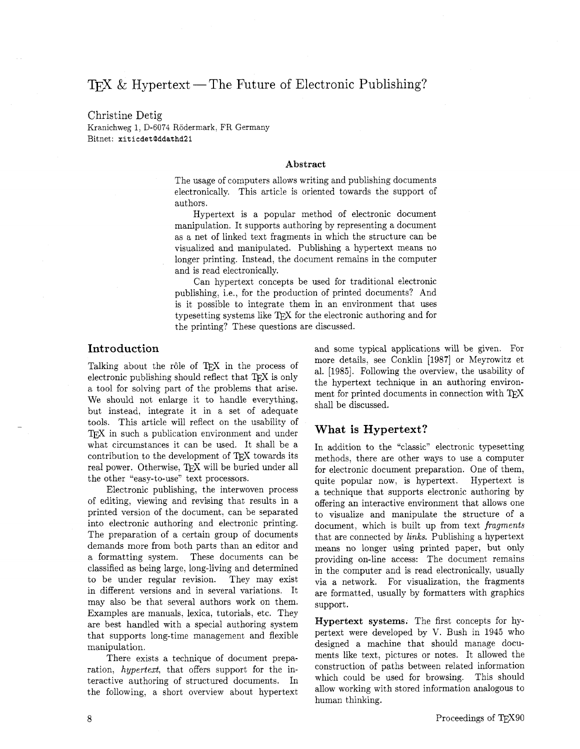# TFX & Hypertext — The Future of Electronic Publishing?

### Christine Detig Kranichweg 1, D-6074 Rödermark, FR Germany Bitnet: **xiticdetQddathd21**

#### **Abstract**

The usage of computers allows writing and publishing documents electronically. This article is oriented towards the support of authors.

Hypertext is a popular method of electronic document manipulation. It supports authoring by representing a document as a net of linked text fragments in which the structure can be visualized and manipulated. Publishing a hypertext means no longer printing. Instead, the document remains in the computer and is read electronically.

Can hypertext concepts be used for traditional electronic publishing, i.e., for the production of printed documents? And is it possible to integrate them in an environment that uses typesetting systems like TEX for the electronic authoring and for the printing? These questions are discussed.

## Introduction

Talking about the rôle of TFX in the process of electronic publishing should reflect that  $T_{\text{F}}X$  is only a tool for solving part of the problems that arise. We should not enlarge it to handle everything, but instead, integrate it in a set of adequate tools. This article will reflect on the usability of TFX in such a publication environment and under what circumstances it can be used. It shall be a contribution to the development of TFX towards its real power. Otherwise, TFX will be buried under all the other "easy-to-use" text processors.

Electronic publishing, the interwoven process of editing, viewing and revising that results in a printed version of the document. can be separated into electronic authoring and electronic printing. The preparation of a certain group of documents demands more from both parts than an editor and a formatting system. These documents can be classified as being large, long-living and determined to be under regular revision. They may exist in different versions and in several variations. It may also be that several authors work on them. Examples are manuals, lexica, tutorials, etc. They are best handled with a special authoring system that supports long-time management and flexible manipulation.

There exists a technique of document preparation, *hypertext,* that offers support for the interactive authoring of structured documents. In the following. a short overview about hypertext and some typical applications will be given. For more details, see Conklin [1987] or Meyrowitz et al. [1985]. Following the overview, the usability of the hypertext technique in an authoring environment for printed documents in connection with TEX shall be discussed.

## **What** is **Hypertext?**

In addition to the "classic" electronic typesetting methods, there are other ways to use a computer for electronic document preparation. One of them, quite popular now, is hypertext. Hypertext is a technique that supports electronic authoring by offering an interactive environment that allows one to visualize and manipulate the structure of a document, which is built up from text *fragments*  that are connected by *links.* Publishing a hypertext means no longer using printed paper, but only providing on-line access: The document remains in the computer and is read electronically, usually via a network. For visualization, the fragments are formatted, usually by formatters with graphics support.

**Hypertext systems.** The first concepts for hypertext were developed by V. Bush in 1945 who designed a machine that should manage documents like text, pictures or notes. It allowed the construction of paths between related information which could be used for browsing. This should allow working with stored information analogous to human thinking.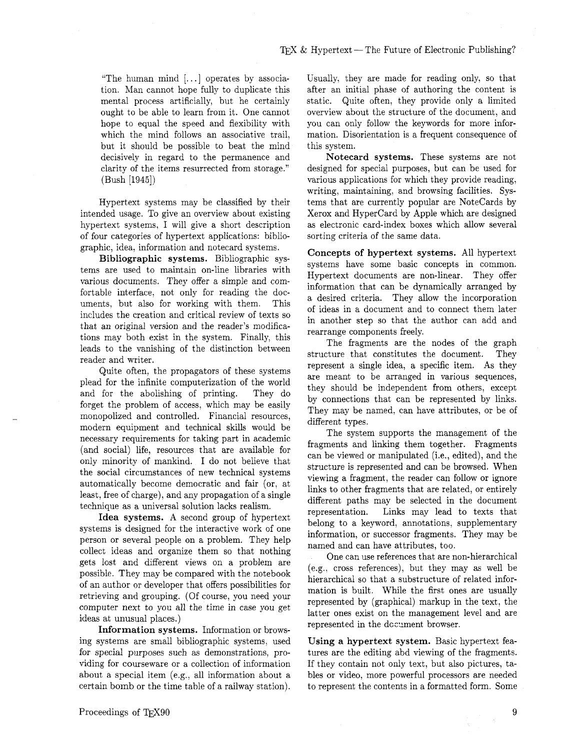"The human mind  $[...]$  operates by association. Man cannot hope fully to duplicate this mental process artificially, but he certainly ought to be able to learn from it. One cannot hope to equal the speed and flexibility with which the mind follows an associative trail, but it should be possible to beat the mind decisively in regard to the permanence and clarity of the items resurrected from storage." (Bush [1945])

Hypertext systems may be classified by their intended usage. To give an overview about existing hypertext systems, I will give a short description of four categories of hypertext applications: bibliographic, idea, information and notecard systems.

**Bibliographic systems.** Bibliographic systems are used to maintain on-line libraries with various documents. They offer a simple and comfortable interface, not only for reading the documents, but also for working with them. This includes the creation and critical review of texts so that an original version and the reader's modifications may both exist in the system. Finally, this leads to the vanishing of the distinction between reader and writer.

Quite often, the propagators of these systems plead for the infinite computerization of the world and for the abolishing of printing. They do forget the problem of access, which may be easily monopolized and controlled. Financial resources, modern equipment and technical skills would be necessary requirements for taking part in academic (and social) life, resources that are available for only minority of mankind. I do not believe that the social circumstances of new technical systems automatically become democratic and fair (or, at least, free of charge), and any propagation of a single technique as a universal solution lacks realism.

**Idea systems. A** second group of hypertext systems is designed for the interactive work of one person or several people on a problem. They help collect ideas and organize them so that nothing gets lost and different views on a problem are possible. They may be compared with the notebook of an author or developer that offers possibilities for retrieving and grouping. (Of course, you need your computer next to you all the time in case you get ideas at unusual places.)

**Information systems.** Information or browsing systems are small bibliographic systems, used for special purposes such as demonstrations, providing for courseware or a collection of information about a special item (e.g.. all information about a certain bomb or the time table of a railway station).

Usually, they are made for reading only, so that after an initial phase of authoring the content is static. Quite often, they provide only a limited overview about the structure of the document, and you can only follow the keywords for more information. Disorientation is a frequent consequence of this system.

**Notecard systems.** These systems are not designed for special purposes, but can be used for various applications for which they provide reading, writing, maintaining, and browsing facilities. Systems that are currently popular are Notecards by Xerox and Hypercard by Apple which are designed as electronic card-index boxes which allow several sorting criteria of the same data.

**Concepts of hypertext systems.** All hypertext systems have some basic concepts in common. Hypertext documents are non-linear. They offer information that can be dynamically arranged by a desired criteria. They allow the incorporation of ideas in a document and to connect them later in another step so that the author can add and rearrange components freely.

The fragments are the nodes of the graph structure that constitutes the document. They represent a single idea, a specific item. As they are meant to be arranged in various sequences, they should be independent from others, except by connections that can be represented by links. They may be named, can have attributes, or be of different types.

The system supports the management of the fragments and linking them together. Fragments can be viewed or manipulated (i.e., edited), and the structure is represented and can be browsed. When viewing a fragment, the reader can follow or ignore links to other fragments that are related, or entirely different paths may be selected in the document representation. Links may lead to texts that belong to a keyword, annotations, supplementary information, or successor fragments. They may be named and can have attributes, too.

One can use references that are non-hierarchical (e.g., cross references), but they may as well be hierarchical so that a substructure of related information is built. While the first ones are usually represented by (graphical) markup in the text, the latter ones exist on the management level and are represented in the dccument browser.

**Using a hypertext system.** Basic hypertext features are the editing abd viewing of the fragments. If they contain not only text, but also pictures, tables or video, more powerful processors are needed to represent the contents in a formatted form. Some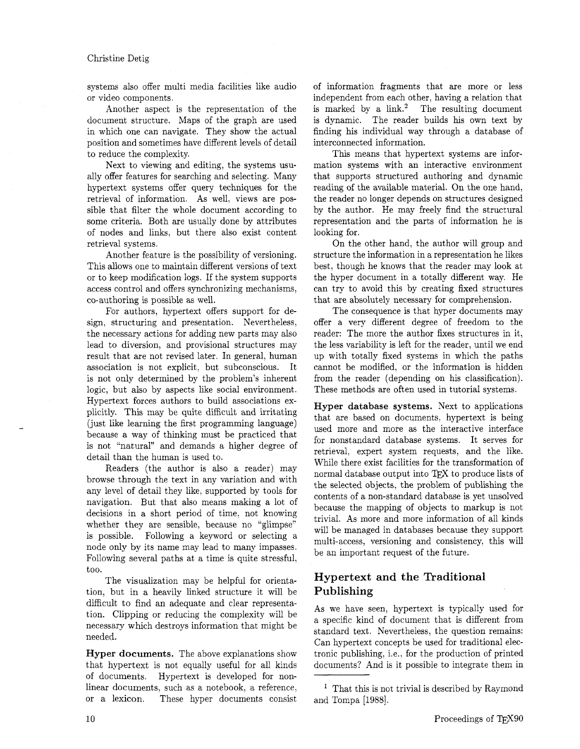### Christine Detig

systems also offer multi media facilities like audio or video components.

Another aspect is the representation of the document structure. Maps of the graph are used in which one can navigate. They show the actual position and sometimes have different levels of detail to reduce the complexity.

Next to viewing and editing, the systems usually offer features for searching and selecting. Many hypertext systems offer query techniques for the retrieval of information. As well, views are possible that filter the whole document according to some criteria. Both are usually done by attributes of nodes and links, but there also exist content retrieval systems.

Another feature is the possibility of versioning. This allows one to maintain different versions of text or to keep modification logs. If the system supports access control and offers synchronizing mechanisms, co-authoring is possible as well.

For authors, hypertext offers support for design, structuring and presentation. Nevertheless, the necessary actions for adding new parts may also lead to diversion, and provisional structures may result that are not revised later. In general, human association is not explicit, but subconscious. It is not only determined by the problem's inherent logic, but also by aspects like social environment. Hypertext forces authors to build associations explicitly. This may be quite difficult and irritating (just like learning the first programming language) because a way of thinking must be practiced that is not "natural" and demands a higher degree of detail than the human is used to.

Readers (the author is also a reader) may browse through the text in any variation and with any level of detail they like, supported by tools for navigation. But that also means making a lot of decisions in a short period of time, not knowing whether they are sensible, because no "glimpse" is possible. Following a keyword or selecting a node only by its name may lead to many impasses. Following several paths at a time is quite stressful, too.

The visualization may be helpful for orientation, but in a heavily linked structure it will be difficult to find an adequate and clear representation. Clipping or reducing the complexity will be necessary which destroys information that might be needed.

**Hyper documents.** The above explanations show that hypertext is not equally useful for all kinds of documents. Hypertext is developed for nonlinear documents, such as a notebook, a reference, or a lexicon. These hyper documents consist of information fragments that are more or less independent from each other, having a relation that is marked by a  $link<sup>2</sup>$  The resulting document is dynamic. The reader builds his own text by finding his individual way through a database of interconnected information.

This means that hypertext systems are information systems with an interactive environment that supports structured authoring and dynamic reading of the available material. On the one hand, the reader no longer depends on structures designed by the author. He may freely find the structural representation and the parts of information he is looking for.

On the other hand, the author will group and structure the information in a representation he likes best, though he knows that the reader may look at the hyper document in a totally different way. He can try to avoid this by creating fixed structures that are absolutely necessary for comprehension.

The consequence is that hyper documents may offer a very different degree of freedom to the reader: The more the author fixes structures in it, the less variability is left for the reader, until we end up with totally fked systems in which the paths cannot be modified. or the information is hidden from the reader (depending on his classification). These methods are often used in tutorial systems.

**Hyper database systems.** Next to applications that are based on documents, hypertext is being used more and more as the interactive interface for nonstandard database systems. It serves for retrieval, expert system requests, and the like. While there exist facilities for the transformation of normal database output into TEX to produce lists of the selected objects, the problem of publishing the contents of a non-standard database is yet unsolved because the mapping of objects to markup is not trivial. As more and more information of all kinds will be managed in databases because they support multi-access, versioning and consistency, this will be an important request of the future.

## **Hypertext and the Traditional Publishing**

As we have seen, hypertext is typically used for a specific kind of document that is different from standard text. Nevertheless, the question remains: Can hypertext concepts be used for traditional electronic publishing, i.e., for the production of printed documents? And is it possible to integrate them in

 $<sup>1</sup>$  That this is not trivial is described by Raymond</sup> and Tompa [1988].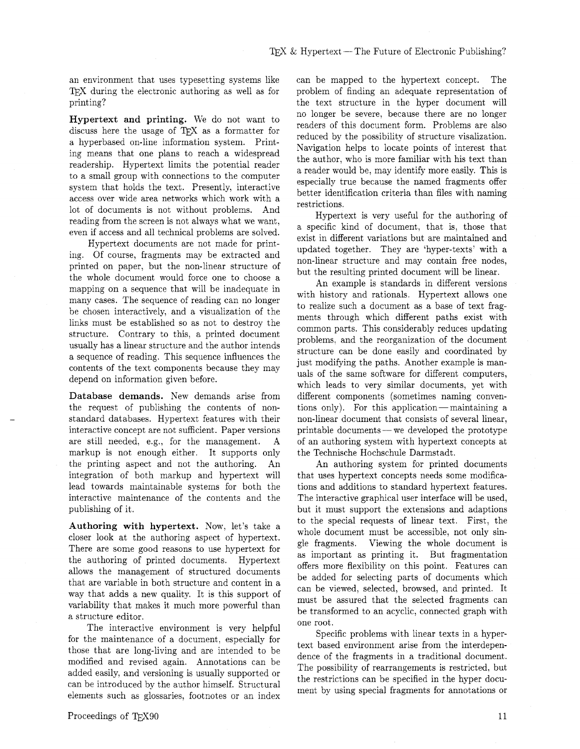an environment that uses typesetting systems like TEX during the electronic authoring as well as for printing?

Hypertext and printing. We do not want to discuss here the usage of TEX as a formatter for a hyperbased on-line information system. Printing means that one plans to reach a widespread readership. Hypertext limits the potential reader to a small group with connections to the computer system that holds the text. Presently, interactive access over wide area networks which work with a lot of documents is not without problems. And reading from the screen is not always what we want, even if access and all technical problems are solved.

Hypertext documents are not made for printing. Of course, fragments may be extracted and printed on paper, but the non-linear structure of the whole document would force one to choose a mapping on a sequence that will be inadequate in many cases. The sequence of reading can no longer be chosen interactively, and a visualization of the links must be established so as not to destroy the structure. Contrary to this, a printed document usually has a linear structure and the author intends a sequence of reading. This sequence influences the contents of the text components because they may depend on information given before.

Database demands. New demands arise from the request of publishing the contents of nonstandard databases. Hypertext features with their interactive concept are not sufficient. Paper versions are still needed, e.g., for the management. A markup is not enough either. It supports only the printing aspect and not the authoring. An integration of both markup and hypertext will lead towards maintainable systems for both the interactive maintenance of the contents and the publishing of it.

Authoring with hypertext. Now, let's take a closer look at the authoring aspect of hypertext. There are some good reasons to use hypertext for the authoring of printed documents. Hypertext allows the management of structured documents that are variable in both structure and content in a way that adds a new quality. It is this support of variability that makes it much more powerful than a structure editor.

The interactive environment is very helpful for the maintenance of a document, especially for those that are long-living and are intended to be modified and revised again. Annotations can be added easily, and versioning is usually supported or can be introduced by the author himself. Structural elements such as glossaries, footnotes or an index can be mapped to the hypertext concept. The problem of finding an adequate representation of the text structure in the hyper document will no longer be severe, because there are no longer readers of this document form. Problems are also reduced by the possibility of structure visalization. Navigation helps to locate points of interest that the author, who is more familiar with his text than a reader would be, may identify more easily. This is especially true because the named fragments offer better identification criteria than files with naming restrictions.

Hypertext is very useful for the authoring of a specific kind of document. that is, those that exist in different variations but are maintained and updated together. They are 'hyper-texts' with a non-linear structure and may contain free nodes, but the resulting printed document will be linear.

An example is standards in different versions with history and rationals. Hypertext allows one to realize such a document as a base of text fragments through which different paths exist with common parts. This considerably reduces updating problems, and the reorganization of the document structure can be done easily and coordinated by just modifying the paths. Another example is manuals of the same software for different computers, which leads to very similar documents, yet with different components (sometimes naming convenwhich leads to very similar documents, yet with<br>different components (sometimes naming conven-<br>tions only). For this application—maintaining a<br>non-linear document that consists of sexual linear non-linear document that consists of several linear, tions only). For this application—maintaining a<br>non-linear document that consists of several linear,<br>printable documents—we developed the prototype of an authoring system with hypertext concepts at the Technische Hochschule Darmstadt.

An authoring system for printed documents that uses hypertext concepts needs some modifications and additions to standard hypertext features. The interactive graphical user interface will be used, but it must support the extensions and adaptions to the special requests of linear text. First, the whole document must be accessible, not only single fragments. Viewing the whole document is as important as printing it. But fragmentation offers more flexibility on this point. Features can be added for selecting parts of documents which can be viewed, selected, browsed, and printed. It must be assured that the selected fragments can be transformed to an acyclic, connected graph with one root.

Specific problems with linear texts in a hypertext based environment arise from the interdependence of the fragments in a traditional document. The possibility of rearrangements is restricted, but the restrictions can be specified in the hyper document by using special fragments for annotations or